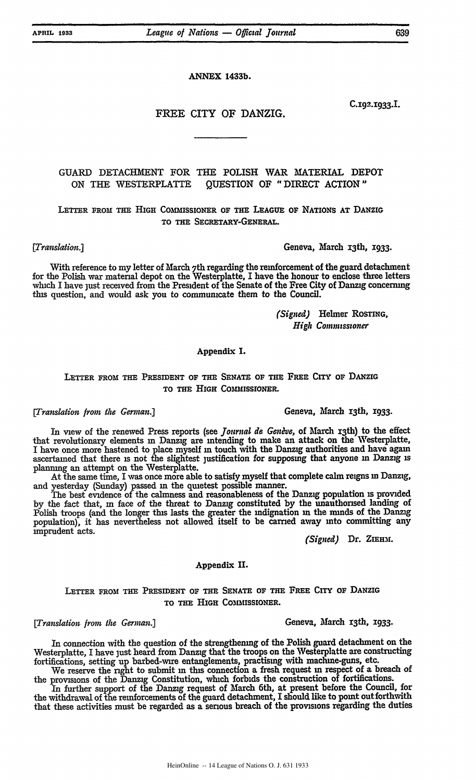**ANNEX 1433b.**

**C.192.1933.I.**

# FREE CITY OF DANZIG.

# GUARD DETACHMENT FOR THE POLISH WAR MATERIAL DEPOT ON THE WESTERPLATTE QUESTION OF "DIRECT ACTION"

**LETTER FROM THE HIGH COMMISSIONER OF THE** LEAGUE **OF** NATIONS **AT** DANZIG TO **THE** SECRETARY-GENERAL.

*[Translation.]* Geneva, March x3th, **1933.**

With reference to my letter of March 7th regarding the reinforcement of the guard detachment for the Polish war material depot on the Westerplatte, I have the honour to enclose three letters which I have just received from the President of the Senate of the Free City of Danzig concerning this question, and would ask you to communicate them to the Council.

> *(Signed)* Helmer ROSTING, *High Commissioner*

### **Appendix I.**

## **LETTER** FROM THE PREsIDENT **OF** THE SENATE **OF THE FREE CITY OF** DANZIG TO **THE HIGH** COMMISSIONER.

In view of the renewed Press reports (see *Journal de Genève*, of March 13th) to the effect that revolutionary elements m Danzig are intending to make an attack on the Westerplatte, I have once more hastened to place myself in touch with the Danzig authorities and have again ascertained that there is not the slightest justification for supposing that anyone **in** Danzig is planning an attempt on the Westerplatte.

At the same time, I was once more able to satisfy myself that complete calm reigns **in** Danzig, and yesterday (Sunday) passed m the quietest possible manner.

The best evidence of the calmness and reasonableness of the Danzig population **is** provided by the fact that, **in** face of the threat to Danzig constituted by the unauthorised landing of Polish troops (and the longer this lasts the greater the indignation m the minds of the Danzig population), it has nevertheless not allowed itself to be carried away into committing any imprudent acts. *(Signed)* **Dr. ZIERM.**

Appendix **II.**

LETTER **FROM THE** PRESIDENT **OF THE** SENATE **OF THE** FREE **CITY OF DANZIG TO THE** HIGH COMMISSIONER.

## *[Translation from the German.]* **Geneva, March 13th, 1933.**

**In** connection with the question of the strengthening of the Polish guard detachment on the Westerplatte, I have just heard from Danzig that the troops on the Westerplatte are constructing fortifications, setting up barbed-wire entanglements, practising with machine-guns, etc. We reserve the right to submit **in** this connection a fresh request **in** respect of **a** breach of

the provisions of the Danzig Constitution, which forbids the construction of fortifications.

In further support of the Danzig request of March 6th, at present before the Council, for the withdrawal of the reinforcements of the guard detachment, I should like to point outforthwith that these activities must be regarded **as** a serious breach of the provisions regarding the duties

HeinOnline -- 14 League of Nations O. J. 631 1933

[Translation from the German.] **Geneva, March 13th, 1933.**